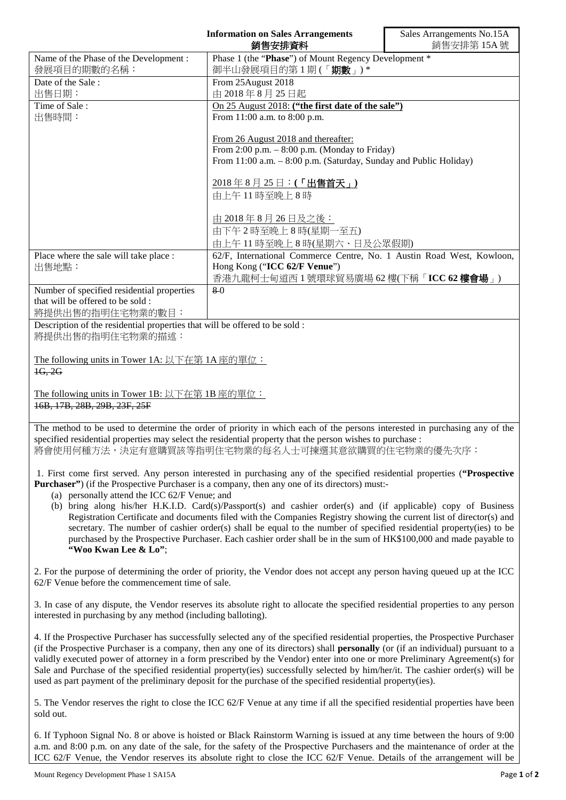|                                                                                                                           | <b>Information on Sales Arrangements</b><br>銷售安排資料                                                                                                                                                                                         | Sales Arrangements No.15A<br>銷售安排第15A號 |
|---------------------------------------------------------------------------------------------------------------------------|--------------------------------------------------------------------------------------------------------------------------------------------------------------------------------------------------------------------------------------------|----------------------------------------|
| Name of the Phase of the Development :                                                                                    | Phase 1 (the "Phase") of Mount Regency Development *                                                                                                                                                                                       |                                        |
| 發展項目的期數的名稱:                                                                                                               | 御半山發展項目的第1期(「期數」)*                                                                                                                                                                                                                         |                                        |
| Date of the Sale:                                                                                                         | From 25August 2018                                                                                                                                                                                                                         |                                        |
| 出售日期:                                                                                                                     | 由 2018年8月25日起                                                                                                                                                                                                                              |                                        |
| Time of Sale:                                                                                                             | On 25 August 2018: ("the first date of the sale")                                                                                                                                                                                          |                                        |
| 出售時間:                                                                                                                     | From 11:00 a.m. to 8:00 p.m.                                                                                                                                                                                                               |                                        |
|                                                                                                                           | From 26 August 2018 and thereafter:<br>From 2:00 p.m. $-$ 8:00 p.m. (Monday to Friday)<br>From 11:00 a.m. - 8:00 p.m. (Saturday, Sunday and Public Holiday)<br>2018年8月25日:(「出售首天」)<br>由上午11時至晚上8時<br>由 2018年8月26日及之後:<br>由下午2時至晚上8時(星期一至五) |                                        |
|                                                                                                                           | 由上午11時至晚上8時(星期六、日及公眾假期)                                                                                                                                                                                                                    |                                        |
| Place where the sale will take place :                                                                                    | 62/F, International Commerce Centre, No. 1 Austin Road West, Kowloon,                                                                                                                                                                      |                                        |
| 出售地點:                                                                                                                     | Hong Kong ("ICC 62/F Venue")<br>香港九龍柯士甸道西1號環球貿易廣場 62樓(下稱「ICC 62樓會場」)                                                                                                                                                                       |                                        |
| Number of specified residential properties                                                                                | 80                                                                                                                                                                                                                                         |                                        |
| that will be offered to be sold:<br>將提供出售的指明住宅物業的數目:                                                                      |                                                                                                                                                                                                                                            |                                        |
| Description of the residential properties that will be offered to be sold :<br>將提供出售的指明住宅物業的描述:                           |                                                                                                                                                                                                                                            |                                        |
| The following units in Tower 1A: 以下在第 1A 座的單位:<br>1G, 2G                                                                  |                                                                                                                                                                                                                                            |                                        |
| The following units in Tower 1B: 以下在第 1B 座的單位:<br>16B, 17B, 28B, 29B, 23F, 25F                                            |                                                                                                                                                                                                                                            |                                        |
| The method to be used to determine the order of priority in which each of the persons interested in purchasing any of the |                                                                                                                                                                                                                                            |                                        |

specified residential properties may select the residential property that the person wishes to purchase :

將會使用何種方法,決定有意購買該等指明住宅物業的每名人士可揀選其意欲購買的住宅物業的優先次序:

1. First come first served. Any person interested in purchasing any of the specified residential properties (**"Prospective Purchaser"**) (if the Prospective Purchaser is a company, then any one of its directors) must:-

- (a) personally attend the ICC 62/F Venue; and
- (b) bring along his/her H.K.I.D. Card(s)/Passport(s) and cashier order(s) and (if applicable) copy of Business Registration Certificate and documents filed with the Companies Registry showing the current list of director(s) and secretary. The number of cashier order(s) shall be equal to the number of specified residential property(ies) to be purchased by the Prospective Purchaser. Each cashier order shall be in the sum of HK\$100,000 and made payable to **"Woo Kwan Lee & Lo"**;

2. For the purpose of determining the order of priority, the Vendor does not accept any person having queued up at the ICC 62/F Venue before the commencement time of sale.

3. In case of any dispute, the Vendor reserves its absolute right to allocate the specified residential properties to any person interested in purchasing by any method (including balloting).

4. If the Prospective Purchaser has successfully selected any of the specified residential properties, the Prospective Purchaser (if the Prospective Purchaser is a company, then any one of its directors) shall **personally** (or (if an individual) pursuant to a validly executed power of attorney in a form prescribed by the Vendor) enter into one or more Preliminary Agreement(s) for Sale and Purchase of the specified residential property(ies) successfully selected by him/her/it. The cashier order(s) will be used as part payment of the preliminary deposit for the purchase of the specified residential property(ies).

5. The Vendor reserves the right to close the ICC 62/F Venue at any time if all the specified residential properties have been sold out.

6. If Typhoon Signal No. 8 or above is hoisted or Black Rainstorm Warning is issued at any time between the hours of 9:00 a.m. and 8:00 p.m. on any date of the sale, for the safety of the Prospective Purchasers and the maintenance of order at the ICC 62/F Venue, the Vendor reserves its absolute right to close the ICC 62/F Venue. Details of the arrangement will be